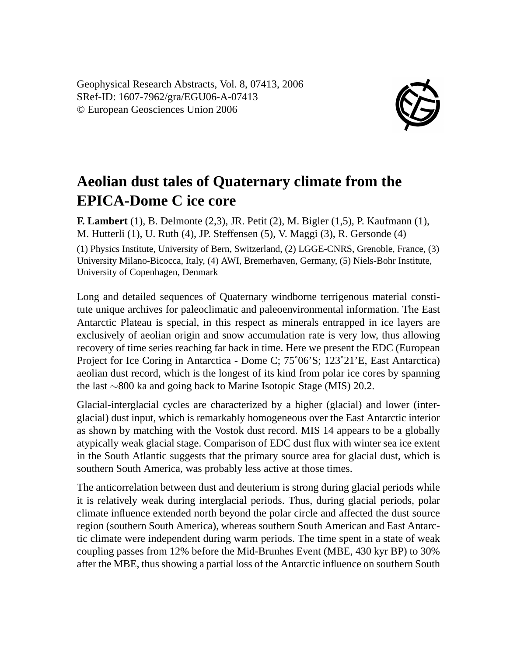Geophysical Research Abstracts, Vol. 8, 07413, 2006 SRef-ID: 1607-7962/gra/EGU06-A-07413 © European Geosciences Union 2006



## **Aeolian dust tales of Quaternary climate from the EPICA-Dome C ice core**

**F. Lambert** (1), B. Delmonte (2,3), JR. Petit (2), M. Bigler (1,5), P. Kaufmann (1), M. Hutterli (1), U. Ruth (4), JP. Steffensen (5), V. Maggi (3), R. Gersonde (4) (1) Physics Institute, University of Bern, Switzerland, (2) LGGE-CNRS, Grenoble, France, (3) University Milano-Bicocca, Italy, (4) AWI, Bremerhaven, Germany, (5) Niels-Bohr Institute, University of Copenhagen, Denmark

Long and detailed sequences of Quaternary windborne terrigenous material constitute unique archives for paleoclimatic and paleoenvironmental information. The East Antarctic Plateau is special, in this respect as minerals entrapped in ice layers are exclusively of aeolian origin and snow accumulation rate is very low, thus allowing recovery of time series reaching far back in time. Here we present the EDC (European Project for Ice Coring in Antarctica - Dome C; 75˚06'S; 123˚21'E, East Antarctica) aeolian dust record, which is the longest of its kind from polar ice cores by spanning the last ∼800 ka and going back to Marine Isotopic Stage (MIS) 20.2.

Glacial-interglacial cycles are characterized by a higher (glacial) and lower (interglacial) dust input, which is remarkably homogeneous over the East Antarctic interior as shown by matching with the Vostok dust record. MIS 14 appears to be a globally atypically weak glacial stage. Comparison of EDC dust flux with winter sea ice extent in the South Atlantic suggests that the primary source area for glacial dust, which is southern South America, was probably less active at those times.

The anticorrelation between dust and deuterium is strong during glacial periods while it is relatively weak during interglacial periods. Thus, during glacial periods, polar climate influence extended north beyond the polar circle and affected the dust source region (southern South America), whereas southern South American and East Antarctic climate were independent during warm periods. The time spent in a state of weak coupling passes from 12% before the Mid-Brunhes Event (MBE, 430 kyr BP) to 30% after the MBE, thus showing a partial loss of the Antarctic influence on southern South